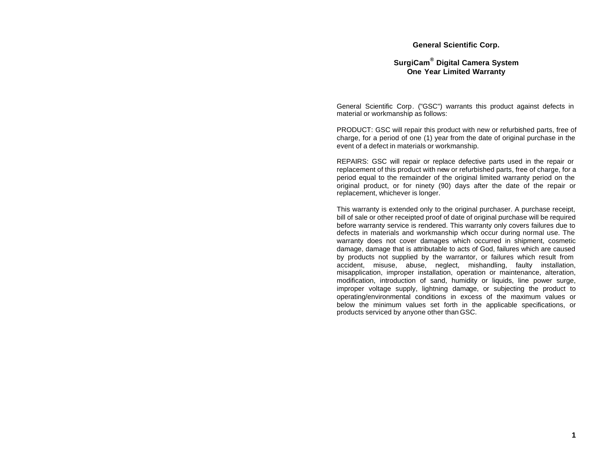#### **General Scientific Corp.**

### **SurgiCam® Digital Camera System One Year Limited Warranty**

General Scientific Corp. ("GSC") warrants this product against defects in material or workmanship as follows:

PRODUCT: GSC will repair this product with new or refurbished parts, free of charge, for a period of one (1) year from the date of original purchase in the event of a defect in materials or workmanship.

REPAIRS: GSC will repair or replace defective parts used in the repair or replacement of this product with new or refurbished parts, free of charge, for a period equal to the remainder of the original limited warranty period on the original product, or for ninety (90) days after the date of the repair or replacement, whichever is longer.

This warranty is extended only to the original purchaser. A purchase receipt, bill of sale or other receipted proof of date of original purchase will be required before warranty service is rendered. This warranty only covers failures due to defects in materials and workmanship which occur during normal use. The warranty does not cover damages which occurred in shipment, cosmetic damage, damage that is attributable to acts of God, failures which are caused by products not supplied by the warrantor, or failures which result from accident, misuse, abuse, neglect, mishandling, faulty installation, misapplication, improper installation, operation or maintenance, alteration, modification, introduction of sand, humidity or liquids, line power surge, improper voltage supply, lightning damage, or subjecting the product to operating/environmental conditions in excess of the maximum values or below the minimum values set forth in the applicable specifications, or products serviced by anyone other than GSC.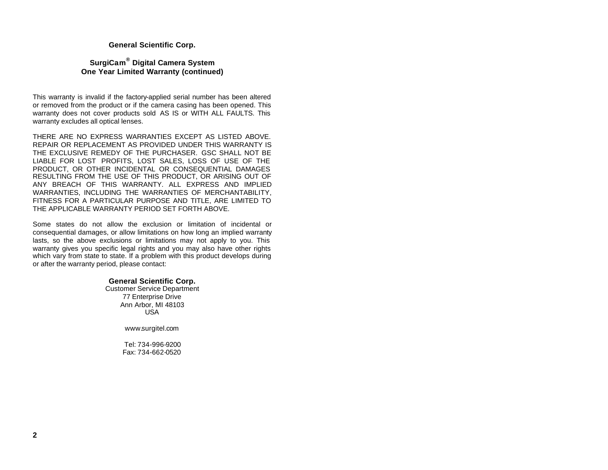#### **General Scientific Corp.**

### **SurgiCam ® Digital Camera System One Year Limited Warranty (continued)**

This warranty is invalid if the factory-applied serial number has been altered or removed from the product or if the camera casing has been opened. This warranty does not cover products sold AS IS or WITH ALL FAULTS. This warranty excludes all optical lenses.

THERE ARE NO EXPRESS WARRANTIES EXCEPT AS LISTED ABOVE. REPAIR OR REPLACEMENT AS PROVIDED UNDER THIS WARRANTY IS THE EXCLUSIVE REMEDY OF THE PURCHASER. GSC SHALL NOT BE LIABLE FOR LOST PROFITS, LOST SALES, LOSS OF USE OF THE PRODUCT, OR OTHER INCIDENTAL OR CONSEQUENTIAL DAMAGES RESULTING FROM THE USE OF THIS PRODUCT, OR ARISING OUT OF ANY BREACH OF THIS WARRANTY. ALL EXPRESS AND IMPLIED WARRANTIES, INCLUDING THE WARRANTIES OF MERCHANTABILITY, FITNESS FOR A PARTICULAR PURPOSE AND TITLE, ARE LIMITED TO THE APPLICABLE WARRANTY PERIOD SET FORTH ABOVE.

Some states do not allow the exclusion or limitation of incidental or consequential damages, or allow limitations on how long an implied warranty lasts, so the above exclusions or limitations may not apply to you. This warranty gives you specific legal rights and you may also have other rights which vary from state to state. If a problem with this product develops during or after the warranty period, please contact:

#### **General Scientific Corp.**

Customer Service Department 77 Enterprise Drive Ann Arbor, MI 48103 USA

www.surgitel.com

 Tel: 734-996-9200 Fax: 734-662-0520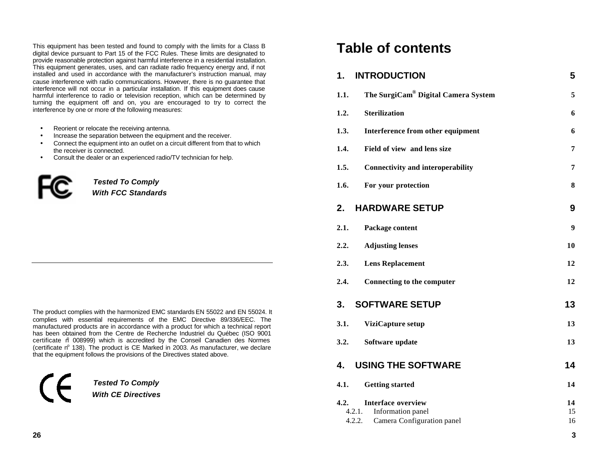This equipment has been tested and found to comply with the limits for a Class B digital device pursuant to Part 15 of the FCC Rules. These limits are designated to provide reasonable protection against harmful interference in a residential installation. This equipment generates, uses, and can radiate radio frequency energy and, if not installed and used in accordance with the manufacturer's instruction manual, may cause interference with radio communications. However, there is no guarantee that interference will not occur in a particular installation. If this equipment does cause harmful interference to radio or television reception, which can be determined by turning the equipment off and on, you are encouraged to try to correct the interference by one or more of the following measures:

- Reorient or relocate the receiving antenna.
- Increase the separation between the equipment and the receiver.
- Connect the equipment into an outlet on a circuit different from that to which the receiver is connected.
- Consult the dealer or an experienced radio/TV technician for help.



*Tested To Comply* 

*With FCC Standards*

The product complies with the harmonized EMC standards EN 55022 and EN 55024. It complies with essential requirements of the EMC Directive 89/336/EEC. The manufactured products are in accordance with a product for which a technical report has been obtained from the Centre de Recherche Industriel du Québec (ISO 9001 certificate n 008999) which is accredited by the Conseil Canadien des Normes (certificate  $n^{\circ}$  138). The product is CE Marked in 2003. As manufacturer, we declare that the equipment follows the provisions of the Directives stated above.

*Tested To Comply With CE Directives*

# **Table of contents**

### **1. INTRODUCTION 5**

| 1.1.                     | The SurgiCam® Digital Camera System                                          | 5              |
|--------------------------|------------------------------------------------------------------------------|----------------|
| 1.2.                     | <b>Sterilization</b>                                                         | 6              |
| 1.3.                     | Interference from other equipment                                            | 6              |
| 1.4.                     | Field of view and lens size                                                  | 7              |
| 1.5.                     | <b>Connectivity and interoperability</b>                                     | 7              |
| 1.6.                     | For your protection                                                          | 8              |
| 2.                       | <b>HARDWARE SETUP</b>                                                        | 9              |
| 2.1.                     | Package content                                                              | 9              |
| 2.2.                     | <b>Adjusting lenses</b>                                                      | 10             |
| 2.3.                     | <b>Lens Replacement</b>                                                      | 12             |
| 2.4.                     | <b>Connecting to the computer</b>                                            | 12             |
| 3.                       | <b>SOFTWARE SETUP</b>                                                        | 13             |
| 3.1.                     | ViziCapture setup                                                            | 13             |
| 3.2.                     | Software update                                                              | 13             |
| 4.                       | <b>USING THE SOFTWARE</b>                                                    | 14             |
| 4.1.                     | <b>Getting started</b>                                                       | 14             |
| 4.2.<br>4.2.1.<br>4.2.2. | <b>Interface overview</b><br>Information panel<br>Camera Configuration panel | 14<br>15<br>16 |

**3**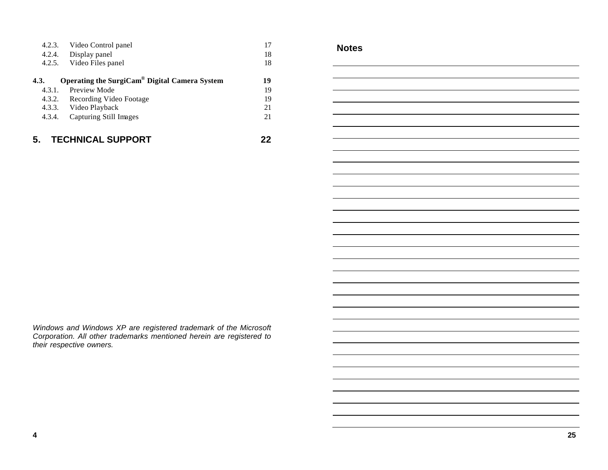| 4.2.3. | Video Control panel                           | 17 |
|--------|-----------------------------------------------|----|
|        | 4.2.4. Display panel                          | 18 |
| 4.2.5. | Video Files panel                             | 18 |
| 4.3.   | Operating the SurgiCam® Digital Camera System | 19 |
| 4.3.1. | Preview Mode                                  | 19 |
|        | 4.3.2. Recording Video Footage                | 19 |
|        | 4.3.3. Video Playback                         | 21 |
| 4.3.4. | Capturing Still Images                        | 21 |
|        | <b>TECHNICAL SUPPORT</b>                      |    |

**Notes**

*Windows and Windows XP are registered trademark of the Microsoft Corporation. All other trademarks mentioned herein are registered to their respective owners.*

**4**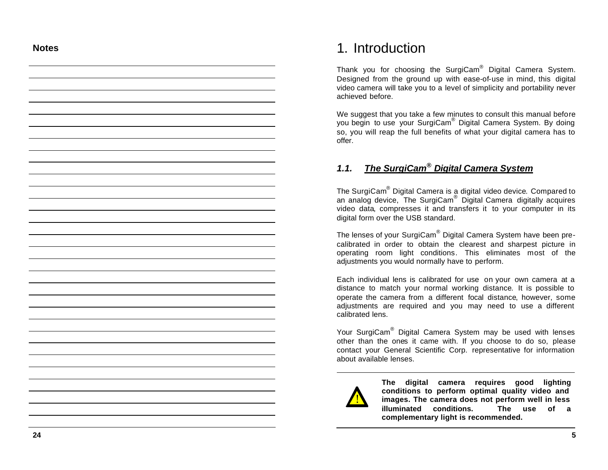### **Notes**

# 1. Introduction

Thank you for choosing the SurgiCam® Digital Camera System. Designed from the ground up with ease-of-use in mind, this digital video camera will take you to a level of simplicity and portability never achieved before.

We suggest that you take a few minutes to consult this manual before you begin to use your SurgiCam ® Digital Camera System. By doing so, you will reap the full benefits of what your digital camera has to offer.

# *1.1. The SurgiCam ® Digital Camera System*

The SurgiCam $^{\circ}$  Digital Camera is a digital video device. Compared to an analog device, The SurgiCam® Digital Camera digitally acquires video data, compresses it and transfers it to your computer in its digital form over the USB standard.

The lenses of your SurgiCam® Digital Camera System have been precalibrated in order to obtain the clearest and sharpest picture in operating room light conditions . This eliminates most of the adjustments you would normally have to perform.

Each individual lens is calibrated for use on your own camera at a distance to match your normal working distance. It is possible to operate the camera from a different focal distance, however, some adjustments are required and you may need to use a different calibrated lens.

Your SurgiCam<sup>®</sup> Digital Camera System may be used with lenses other than the one s it came with. If you choose to do so, please contact your General Scientific Corp. representative for information about available lenses.



**The digital camera requires good lighting conditions to perform optimal quality video and images. The camera does not perform well in less illuminated conditions. The use of a complementary light is recommended.**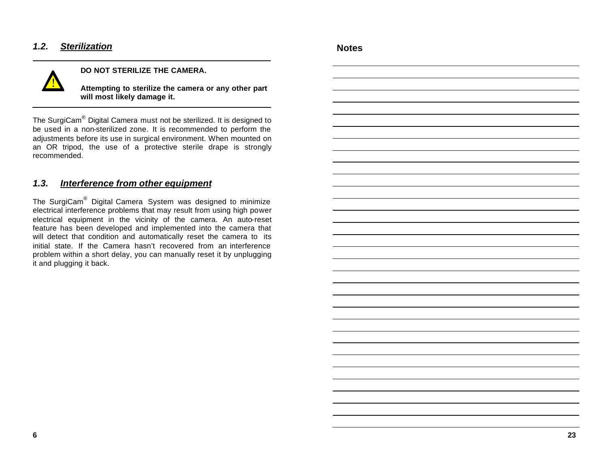# *1.2. Sterilization*



## **DO NOT STERILIZE THE CAMERA.**

**Attempting to sterilize the camera or any other part will most likely damage it.**

The SurgiCam® Digital Camera must not be sterilized. It is designed to be used in a non-sterilized zone. It is recommended to perform the adjustments before its use in surgical environment. When mounted on an OR tripod, the use of a protective sterile drape is strongly recommended.

# *1.3. Interference from other equipment*

The SurgiCam® Digital Camera System was designed to minimize electrical interference problems that may result from using high power electrical equipment in the vicinity of the camera. An auto-reset feature has been developed and implemented into the camera that will detect that condition and automatically reset the camera to its initial state. If the Camera hasn't recovered from an interference problem within a short delay, you can manually reset it by unplugging it and plugging it back.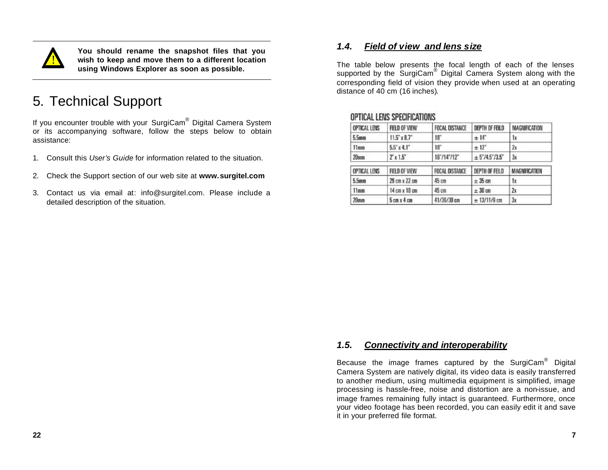

**You should rename the snapshot files that you wish to keep and move them to a different location using Windows Explorer as soon as possible.**

# 5. Technical Support

If you encounter trouble with your SurgiCam® Digital Camera System or its accompanying software, follow the steps below to obtain assistance:

- 1. Consult this *User's Guide* for information related to the situation.
- 2. Check the Support section of our web site at **www.surgitel.com**
- 3. Contact us via email at: info@surgitel.com. Please include a detailed description of the situation.

# *1.4. Field of view and lens size*

The table below presents the focal length of each of the lenses supported by the SurgiCam<sup>®</sup> Digital Camera System along with the corresponding field of vision they provide when used at an operating distance of 40 cm (16 inches).

| OPTICAL LENS     | FIELD OF VIEW                 | FOCAL DISTANCE        | <b>DEPTH OF FEILD</b> | MAGNIFICATION |
|------------------|-------------------------------|-----------------------|-----------------------|---------------|
| 5.5mm            | $11.5$ $x8.7$                 | 18°                   | ±14"                  | 1x            |
| 11mm             | $5.5^{\circ}$ x 4.1"          | $18^\circ$            | $± 12$ <sup>*</sup>   | 2x            |
| 20 <sub>mm</sub> | 2x1.5                         | 16"/14"/12"           | $\pm$ 5'/4.5'/3.5"    | 3x            |
| OPTICAL LENS     | FIELD OF VIEW                 | <b>FOCAL DISTANCE</b> | <b>DEPTH OF FEILD</b> | MAGNIFICATION |
| 5.5mm            | 29 cm x 22 cm                 | 45 cm                 | ± 35 cm               | 1x            |
| 11mm             | 14 cm x 10 cm                 | 45 cm                 | $\pm 30$ cm           | 2x            |
| 20mm             | $5 \text{ cm} x 4 \text{ cm}$ | 41/36/30 cm           | $± 13/11/9$ cm        | 3x            |

## OPTICAL LENS SPECIFICATIONS

# *1.5. Connectivity and interoperability*

Because the image frames captured by the SurgiCam® Digital Camera System are natively digital, its video data is easily transferred to another medium, using multimedia equipment is simplified, image processing is hassle-free, noise and distortion are a non-issue, and image frames remaining fully intact is guaranteed. Furthermore, once your video footage has been recorded, you can easily edit it and save it in your preferred file format.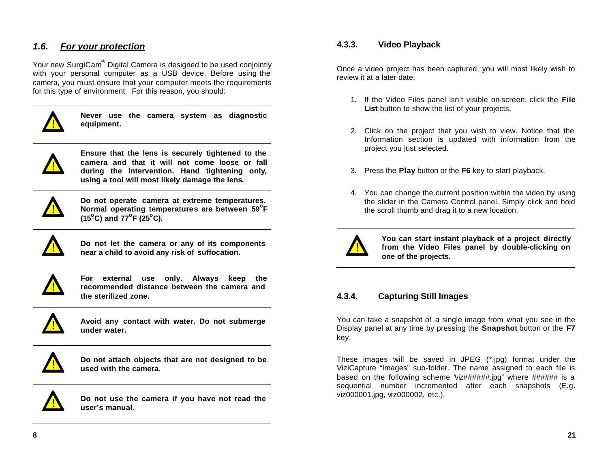# *1.6. For your protection*

Your new SurgiCam® Digital Camera is designed to be used conjointly with your personal computer as a USB device. Before using the camera, you must ensure that your computer meets the requirements for this type of environment. For this reason, you should:



**Never use the camera system as diagnostic equipment.**



**Ensure that the lens is securely tightened to the camera and that it will not come loose or fall during the intervention. Hand tightening only, using a tool will most likely damage the lens.**



**Do not operate camera at extreme temperatures. Normal operating temperatures are between 59<sup>o</sup> F (15<sup>o</sup>C) and 77<sup>o</sup> F (25<sup>o</sup>C).**



**Do not let the camera or any of its components near a child to avoid any risk of suffocation.**



**For external use only. Always keep the recommended distance between the camera and the sterilized zone.** 



**Avoid any contact with water. Do not submerge under water.**



**Do not attach objects that are not designed to be used with the camera.**



**Do not use the camera if you have not read the user's manual.**

## **4.3.3. Video Playback**

Once a video project has been captured, you will most likely wish to review it at a later date:

- 1. If the Video Files panel isn't visible on-screen, click the **File List** button to show the list of your projects.
- 2. Click on the project that you wish to view. Notice that the Information section is updated with information from the project you just selected.
- 3. Press the **Play** button or the **F6** key to start playback.
- 4. You can change the current position within the video by using the slider in the Camera Control panel. Simply click and hold the scroll thumb and drag it to a new location.



**You can start instant playback of a project directly from the Video Files panel by double-clicking on one of the projects.**

# **4.3.4. Capturing Still Images**

You can take a snapshot of a single image from what you see in the Display panel at any time by pressing the **Snapshot** button or the **F7** key.

These images will be saved in JPEG (\*.jpg) format under the ViziCapture "Images" sub-folder. The name assigned to each file is based on the following scheme 'viz######.jpg" where ###### is a sequential number incremented after each snapshots (E.g. viz000001.jpg, viz000002, etc.).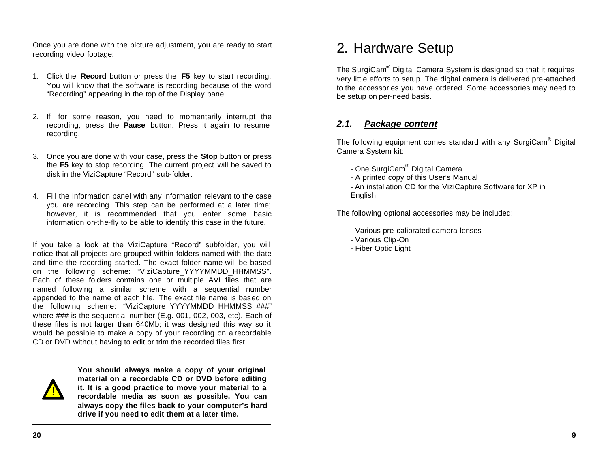Once you are done with the picture adjustment, you are ready to start recording video footage:

- 1. Click the **Record** button or press the **F5** key to start recording. You will know that the software is recording because of the word "Recording" appearing in the top of the Display panel.
- 2. If, for some reason, you need to momentarily interrupt the recording, press the **Pause** button. Press it again to resume recording.
- 3. Once you are done with your case, press the **Stop** button or press the **F5** key to stop recording. The current project will be saved to disk in the ViziCapture "Record" sub-folder.
- 4. Fill the Information panel with any information relevant to the case you are recording. This step can be performed at a later time; however, it is recommended that you enter some basic information on-the-fly to be able to identify this case in the future.

If you take a look at the ViziCapture "Record" subfolder, you will notice that all projects are grouped within folders named with the date and time the recording started. The exact folder name will be based on the following scheme: "ViziCapture\_YYYYMMDD\_HHMMSS". Each of these folders contains one or multiple AVI files that are named following a similar scheme with a sequential number appended to the name of each file. The exact file name is based on the following scheme: "ViziCapture\_YYYYMMDD\_HHMMSS\_###" where ### is the sequential number (E.g. 001, 002, 003, etc). Each of these files is not larger than 640Mb; it was designed this way so it would be possible to make a copy of your recording on a recordable CD or DVD without having to edit or trim the recorded files first.



**You should always make a copy of your original material on a recordable CD or DVD before editing it. It is a good practice to move your material to a recordable media as soon as possible. You can always copy the files back to your computer's hard drive if you need to edit them at a later time.**

# 2. Hardware Setup

The SurgiCam® Digital Camera System is designed so that it requires very little efforts to setup. The digital camera is delivered pre-attached to the accessories you have ordered. Some accessories may need to be setup on per-need basis.

# *2.1. Package content*

The following equipment comes standard with any SurgiCam<sup>®</sup> Digital Camera System kit:

- One SurgiCam® Digital Camera
- A printed copy of this User's Manual
- An installation CD for the ViziCapture Software for XP in **English**

The following optional accessories may be included:

- Various pre-calibrated camera lenses
- Various Clip-On
- Fiber Optic Light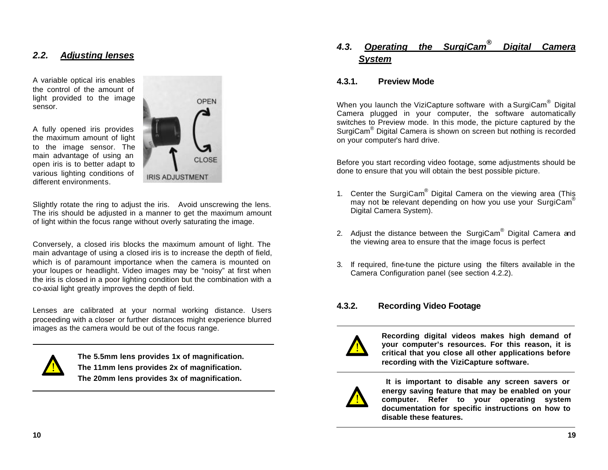# *2.2. Adjusting lenses*

A variable optical iris enables the control of the amount of light provided to the image sensor.

A fully opened iris provides the maximum amount of light to the image sensor. The main advantage of using an open iris is to better adapt to various lighting conditions of different environments.



Slightly rotate the ring to adjust the iris. Avoid unscrewing the lens. The iris should be adjusted in a manner to get the maximum amount of light within the focus range without overly saturating the image.

Conversely, a closed iris blocks the maximum amount of light. The main advantage of using a closed iris is to increase the depth of field, which is of paramount importance when the camera is mounted on your loupes or headlight. Video images may be "noisy" at first when the iris is closed in a poor lighting condition but the combination with a co-axial light greatly improves the depth of field.

Lenses are calibrated at your normal working distance. Users proceeding with a closer or further distances might experience blurred images as the camera would be out of the focus range.



**The 5.5mm lens provides 1x of magnification. The 11mm lens provides 2x of magnification. The 20mm lens provides 3x of magnification.**

#### *4.3. Operating the SurgiCam® Digital Camera System*

## **4.3.1. Preview Mode**

When you launch the ViziCapture software with a SurgiCam<sup>®</sup> Digital Camera plugged in your computer, the software automatically switches to Preview mode. In this mode, the picture captured by the SurgiCam® Digital Camera is shown on screen but nothing is recorded on your computer's hard drive.

Before you start recording video footage, some adjustments should be done to ensure that you will obtain the best possible picture.

- 1. Center the SurgiCam<sup>®</sup> Digital Camera on the viewing area (This may not be relevant depending on how you use your SurgiCam® Digital Camera System).
- 2. Adjust the distance between the SurgiCam<sup>®</sup> Digital Camera and the viewing area to ensure that the image focus is perfect
- 3. If required, fine-tune the picture using the filters available in the Camera Configuration panel (see section 4.2.2).

# **4.3.2. Recording Video Footage**



**Recording digital videos makes high demand of your computer's resources. For this reason, it is critical that you close all other applications before recording with the ViziCapture software.**



 **It is important to disable any screen savers or energy saving feature that may be enabled on your computer. Refer to your operating system documentation for specific instructions on how to disable these features.**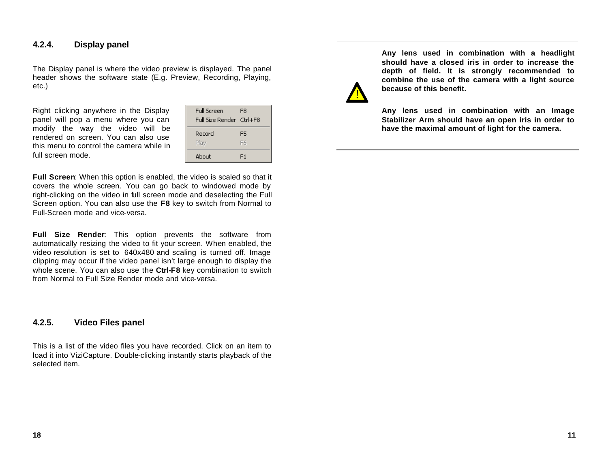# **4.2.4. Display panel**

The Display panel is where the video preview is displayed. The panel header shows the software state (E.g. Preview, Recording, Playing, etc.)

Right clicking anywhere in the Display panel will pop a menu where you can modify the way the video will be rendered on screen. You can also use this menu to control the camera while in full screen mode.

| <b>Full Screen</b><br>Full Size Render Ctrl+F8 | F8       |
|------------------------------------------------|----------|
| Record<br>Play                                 | F5<br>F6 |
| Ahout                                          | F1       |

**Full Screen**: When this option is enabled, the video is scaled so that it covers the whole screen. You can go back to windowed mode by right-clicking on the video in full screen mode and deselecting the Full Screen option. You can also use the **F8** key to switch from Normal to Full-Screen mode and vice-versa.

**Full Size Render**: This option prevents the software from automatically resizing the video to fit your screen. When enabled, the video resolution is set to 640x480 and scaling is turned off. Image clipping may occur if the video panel isn't large enough to display the whole scene. You can also use the **Ctrl-F8** key combination to switch from Normal to Full Size Render mode and vice-versa.

## **4.2.5. Video Files panel**

This is a list of the video files you have recorded. Click on an item to load it into ViziCapture. Double-clicking instantly starts playback of the selected item.



**Any lens used in combination with a headlight should have a closed iris in order to increase the depth of field. It is strongly recommended to combine the use of the camera with a light source because of this benefit.**

**Any lens used in combination with an Image Stabilizer Arm should have an open iris in order to have the maximal amount of light for the camera.**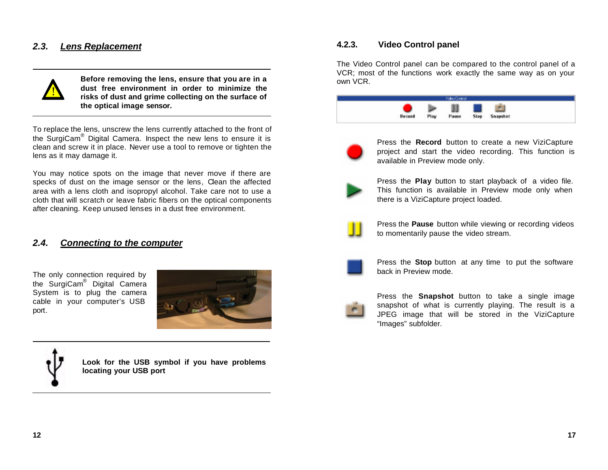# *2.3. Lens Replacement*



**Before removing the lens, ensure that you are in a dust free environment in order to minimize the risks of dust and grime collecting on the surface of the optical image sensor.**

To replace the lens, unscrew the lens currently attached to the front of the SurgiCam® Digital Camera. Inspect the new lens to ensure it is clean and screw it in place. Never use a tool to remove or tighten the lens as it may damage it.

You may notice spots on the image that never move if there are specks of dust on the image sensor or the lens, Clean the affected area with a lens cloth and isopropyl alcohol. Take care not to use a cloth that will scratch or leave fabric fibers on the optical components after cleaning. Keep unused lenses in a dust free environment.

# *2.4. Connecting to the computer*

The only connection required by the SurgiCam® Digital Camera System is to plug the camera cable in your computer's USB port.





**Look for the USB symbol if you have problems locating your USB port**

## **4.2.3. Video Control panel**

The Video Control panel can be compared to the control panel of a VCR; most of the functions work exactly the same way as on your own VCR.





Press the **Record** button to create a new ViziCapture project and start the video recording. This function is available in Preview mode only.



Press the **Play** button to start playback of a video file. This function is available in Preview mode only when there is a ViziCapture project loaded.



Press the **Pause** button while viewing or recording videos to momentarily pause the video stream.



Press the **Stop** button at any time to put the software back in Preview mode.



Press the **Snapshot** button to take a single image snapshot of what is currently playing. The result is a JPEG image that will be stored in the ViziCapture "Images" subfolder.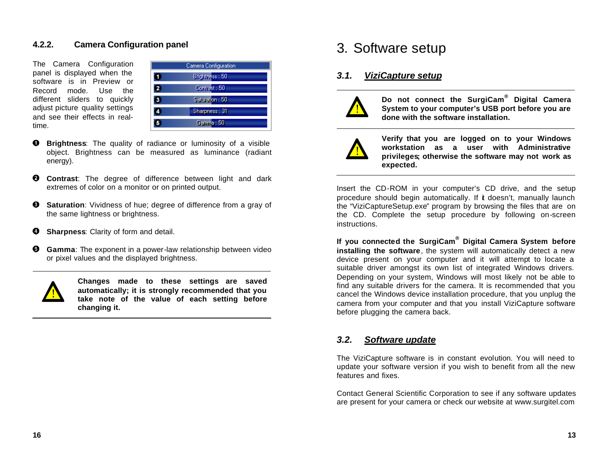## **4.2.2. Camera Configuration panel**

The Camera Configuration panel is displayed when the software is in Preview or Record mode. Use the different sliders to quickly adjust picture quality settings and see their effects in realtime.

| Camera Configuration    |                 |  |  |
|-------------------------|-----------------|--|--|
| о                       | Brightness : 50 |  |  |
| $\bullet$               | Contrast : 50   |  |  |
| $\overline{\textbf{3}}$ | Saturation: 50  |  |  |
| 4                       | Sharpness: 31   |  |  |
| ø                       | Gamma: 50       |  |  |
|                         |                 |  |  |

- ➊ **Brightness**: The quality of radiance or luminosity of a visible object. Brightness can be measured as luminance (radiant energy).
- **Contrast**: The degree of difference between light and dark ❷ extremes of color on a monitor or on printed output.
- **Saturation:** Vividness of hue; degree of difference from a gray of ❸ the same lightness or brightness.
- ❹ **Sharpness**: Clarity of form and detail.
- **Gamma**: The exponent in a power-law relationship between video ❺ or pixel values and the displayed brightness.



**Changes made to these settings are saved automatically; it is strongly recommended that you take note of the value of each setting before changing it.**

# 3. Software setup

### *3.1. ViziCapture setup*



**Do not connect the SurgiCam® Digital Camera System to your computer's USB port before you are done with the software installation.**



**Verify that you are logged on to your Windows workstation as a user with Administrative privileges; otherwise the software may not work as expected.**

Insert the CD-ROM in your computer's CD drive, and the setup procedure should begin automatically. If it doesn't, manually launch the "ViziCaptureSetup.exe" program by browsing the files that are on the CD. Complete the setup procedure by following on-screen instructions.

**If you connected the SurgiCam® Digital Camera System before installing the software**, the system will automatically detect a new device present on your computer and it will attempt to locate a suitable driver amongst its own list of integrated Windows drivers. Depending on your system, Windows will most likely not be able to find any suitable drivers for the camera. It is recommended that you cancel the Windows device installation procedure, that you unplug the camera from your computer and that you install ViziCapture software before plugging the camera back.

# *3.2. Software update*

The ViziCapture software is in constant evolution. You will need to update your software version if you wish to benefit from all the new features and fixes.

Contact General Scientific Corporation to see if any software updates are present for your camera or check our website at www.surgitel.com